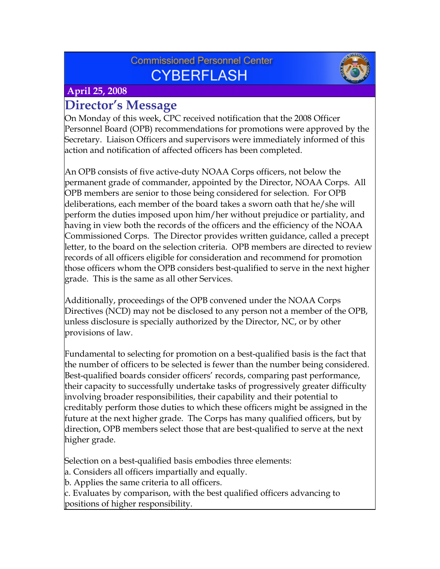## **Commissioned Personnel Center CYBERFLASH**



#### **April 25, 2008**

## **Director's Message**

On Monday of this week, CPC received notification that the 2008 Officer Personnel Board (OPB) recommendations for promotions were approved by the Secretary. Liaison Officers and supervisors were immediately informed of this action and notification of affected officers has been completed.

An OPB consists of five active-duty NOAA Corps officers, not below the permanent grade of commander, appointed by the Director, NOAA Corps. All OPB members are senior to those being considered for selection. For OPB deliberations, each member of the board takes a sworn oath that he/she will perform the duties imposed upon him/her without prejudice or partiality, and having in view both the records of the officers and the efficiency of the NOAA Commissioned Corps. The Director provides written guidance, called a precept letter, to the board on the selection criteria. OPB members are directed to review records of all officers eligible for consideration and recommend for promotion those officers whom the OPB considers best-qualified to serve in the next higher grade. This is the same as all other Services.

Additionally, proceedings of the OPB convened under the NOAA Corps Directives (NCD) may not be disclosed to any person not a member of the OPB, unless disclosure is specially authorized by the Director, NC, or by other provisions of law.

Fundamental to selecting for promotion on a best-qualified basis is the fact that the number of officers to be selected is fewer than the number being considered. Best-qualified boards consider officers' records, comparing past performance, their capacity to successfully undertake tasks of progressively greater difficulty involving broader responsibilities, their capability and their potential to creditably perform those duties to which these officers might be assigned in the future at the next higher grade. The Corps has many qualified officers, but by direction, OPB members select those that are best-qualified to serve at the next higher grade.

Selection on a best-qualified basis embodies three elements:

- a. Considers all officers impartially and equally.
- b. Applies the same criteria to all officers.

c. Evaluates by comparison, with the best qualified officers advancing to positions of higher responsibility.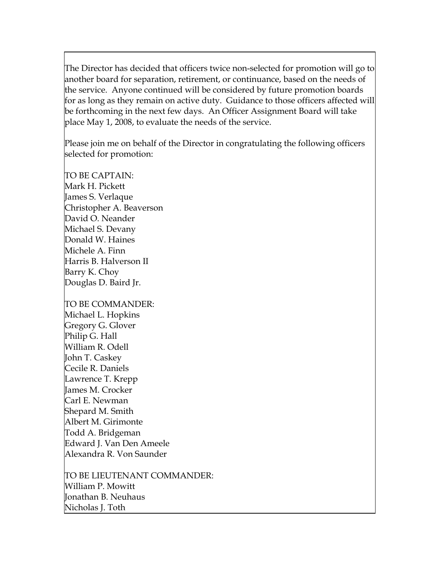The Director has decided that officers twice non-selected for promotion will go to another board for separation, retirement, or continuance, based on the needs of the service. Anyone continued will be considered by future promotion boards for as long as they remain on active duty. Guidance to those officers affected will be forthcoming in the next few days. An Officer Assignment Board will take place May 1, 2008, to evaluate the needs of the service.

Please join me on behalf of the Director in congratulating the following officers selected for promotion:

TO BE CAPTAIN: Mark H. Pickett James S. Verlaque Christopher A. Beaverson David O. Neander Michael S. Devany Donald W. Haines Michele A. Finn Harris B. Halverson II Barry K. Choy Douglas D. Baird Jr.

TO BE COMMANDER: Michael L. Hopkins Gregory G. Glover Philip G. Hall William R. Odell John T. Caskey Cecile R. Daniels Lawrence T. Krepp James M. Crocker Carl E. Newman Shepard M. Smith Albert M. Girimonte Todd A. Bridgeman Edward J. Van Den Ameele Alexandra R. Von Saunder

TO BE LIEUTENANT COMMANDER: William P. Mowitt Jonathan B. Neuhaus Nicholas J. Toth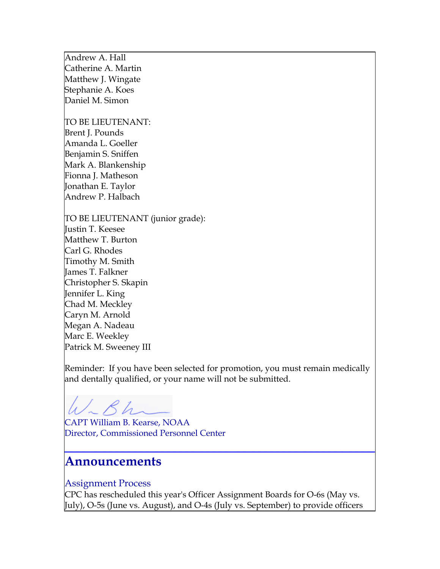Andrew A. Hall Catherine A. Martin Matthew J. Wingate Stephanie A. Koes Daniel M. Simon

TO BE LIEUTENANT: Brent J. Pounds Amanda L. Goeller Benjamin S. Sniffen Mark A. Blankenship Fionna J. Matheson Jonathan E. Taylor Andrew P. Halbach

TO BE LIEUTENANT (junior grade): Justin T. Keesee Matthew T. Burton Carl G. Rhodes Timothy M. Smith James T. Falkner Christopher S. Skapin Jennifer L. King Chad M. Meckley Caryn M. Arnold Megan A. Nadeau Marc E. Weekley Patrick M. Sweeney III

Reminder: If you have been selected for promotion, you must remain medically and dentally qualified, or your name will not be submitted.

CAPT William B. Kearse, NOAA Director, Commissioned Personnel Center

## **Announcements**

#### Assignment Process

CPC has rescheduled this year's Officer Assignment Boards for O-6s (May vs. July), O-5s (June vs. August), and O-4s (July vs. September) to provide officers

**\_\_\_\_\_\_\_\_\_\_\_\_\_\_\_\_\_\_\_\_\_\_\_\_\_\_\_\_\_\_\_\_\_\_\_\_\_\_\_\_\_\_\_\_\_\_\_\_**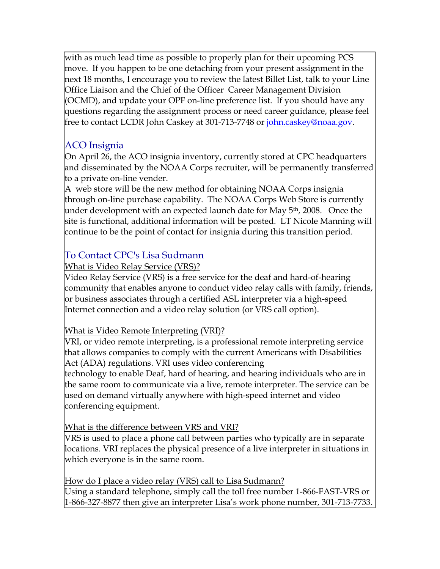with as much lead time as possible to properly plan for their upcoming PCS move. If you happen to be one detaching from your present assignment in the next 18 months, I encourage you to review the latest Billet List, talk to your Line Office Liaison and the Chief of the Officer Career Management Division (OCMD), and update your OPF on-line preference list. If you should have any questions regarding the assignment process or need career guidance, please feel free to contact LCDR John Caskey at 301-713-7748 or <u>john.caskey@noaa.gov</u>.

## ACO Insignia

On April 26, the ACO insignia inventory, currently stored at CPC headquarters and disseminated by the NOAA Corps recruiter, will be permanently transferred to a private on-line vender.

A web store will be the new method for obtaining NOAA Corps insignia through on-line purchase capability. The NOAA Corps Web Store is currently under development with an expected launch date for May 5<sup>th</sup>, 2008. Once the site is functional, additional information will be posted. LT Nicole Manning will continue to be the point of contact for insignia during this transition period.

## To Contact CPC's Lisa Sudmann

#### What is Video Relay Service (VRS)?

Video Relay Service (VRS) is a free service for the deaf and hard-of-hearing community that enables anyone to conduct video relay calls with family, friends, or business associates through a certified ASL interpreter via a high-speed Internet connection and a video relay solution (or VRS call option).

#### What is Video Remote Interpreting (VRI)?

VRI, or video remote interpreting, is a professional remote interpreting service that allows companies to comply with the current Americans with Disabilities Act (ADA) regulations. VRI uses video conferencing

technology to enable Deaf, hard of hearing, and hearing individuals who are in the same room to communicate via a live, remote interpreter. The service can be used on demand virtually anywhere with high-speed internet and video conferencing equipment.

#### What is the difference between VRS and VRI?

VRS is used to place a phone call between parties who typically are in separate locations. VRI replaces the physical presence of a live interpreter in situations in which everyone is in the same room.

#### How do I place a video relay (VRS) call to Lisa Sudmann?

Using a standard telephone, simply call the toll free number 1-866-FAST-VRS or 1-866-327-8877 then give an interpreter Lisa's work phone number, 301-713-7733.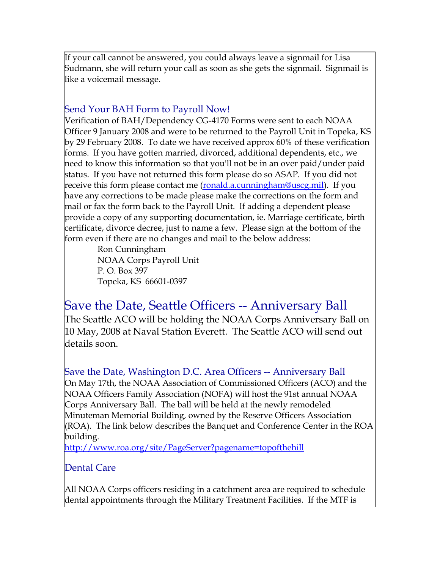If your call cannot be answered, you could always leave a signmail for Lisa Sudmann, she will return your call as soon as she gets the signmail. Signmail is like a voicemail message.

#### Send Your BAH Form to Payroll Now!

Verification of BAH/Dependency CG-4170 Forms were sent to each NOAA Officer 9 January 2008 and were to be returned to the Payroll Unit in Topeka, KS by 29 February 2008. To date we have received approx 60% of these verification forms. If you have gotten married, divorced, additional dependents, etc., we need to know this information so that you'll not be in an over paid/under paid status. If you have not returned this form please do so ASAP. If you did not receive this form please contact me (<u>ronald.a.cunningham@uscg.mil</u>). If you have any corrections to be made please make the corrections on the form and mail or fax the form back to the Payroll Unit. If adding a dependent please provide a copy of any supporting documentation, ie. Marriage certificate, birth certificate, divorce decree, just to name a few. Please sign at the bottom of the form even if there are no changes and mail to the below address:

> Ron Cunningham NOAA Corps Payroll Unit P. O. Box 397 Topeka, KS 66601-0397

# Save the Date, Seattle Officers -- Anniversary Ball

The Seattle ACO will be holding the NOAA Corps Anniversary Ball on 10 May, 2008 at Naval Station Everett. The Seattle ACO will send out details soon.

Save the Date, Washington D.C. Area Officers -- Anniversary Ball On May 17th, the NOAA Association of Commissioned Officers (ACO) and the NOAA Officers Family Association (NOFA) will host the 91st annual NOAA Corps Anniversary Ball. The ball will be held at the newly remodeled Minuteman Memorial Building, owned by the Reserve Officers Association (ROA). The link below describes the Banquet and Conference Center in the ROA building.

<http://www.roa.org/site/PageServer?pagename=topofthehill>

## Dental Care

All NOAA Corps officers residing in a catchment area are required to schedule dental appointments through the Military Treatment Facilities. If the MTF is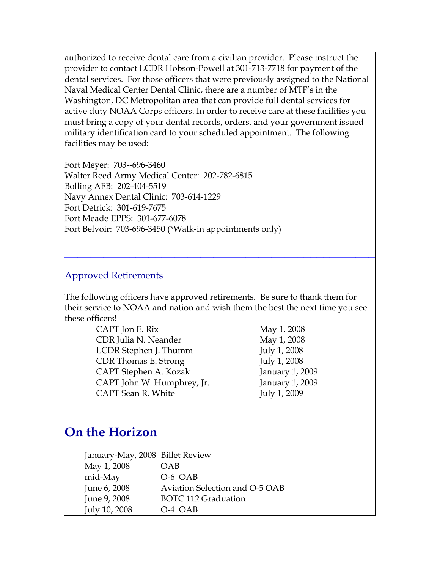authorized to receive dental care from a civilian provider. Please instruct the provider to contact LCDR Hobson-Powell at 301-713-7718 for payment of the dental services. For those officers that were previously assigned to the National Naval Medical Center Dental Clinic, there are a number of MTF's in the Washington, DC Metropolitan area that can provide full dental services for active duty NOAA Corps officers. In order to receive care at these facilities you must bring a copy of your dental records, orders, and your government issued military identification card to your scheduled appointment. The following facilities may be used:

Fort Meyer: 703--696-3460 Walter Reed Army Medical Center: 202-782-6815 Bolling AFB: 202-404-5519 Navy Annex Dental Clinic: 703-614-1229 Fort Detrick: 301-619-7675 Fort Meade EPPS: 301-677-6078 Fort Belvoir: 703-696-3450 (\*Walk-in appointments only)

#### Approved Retirements

The following officers have approved retirements. Be sure to thank them for their service to NOAA and nation and wish them the best the next time you see these officers!

**\_\_\_\_\_\_\_\_\_\_\_\_\_\_\_\_\_\_\_\_\_\_\_\_\_\_\_\_\_\_\_\_\_\_\_\_\_\_\_\_\_\_\_\_\_\_\_\_**

| CAPT Jon E. Rix            |
|----------------------------|
| CDR Julia N. Neander       |
| LCDR Stephen J. Thumm      |
| CDR Thomas E. Strong       |
| CAPT Stephen A. Kozak      |
| CAPT John W. Humphrey, Jr. |
| CAPT Sean R. White         |

May 1, 2008 May 1, 2008 July 1,  $2008$ July 1, 2008 January  $1, 2009$ January 1, 2009 July 1, 2009

# **On the Horizon**

| January-May, 2008 Billet Review |                                |
|---------------------------------|--------------------------------|
| May 1, 2008                     | OAB                            |
| mid-May                         | O-6 OAB                        |
| June 6, 2008                    | Aviation Selection and O-5 OAB |
| June 9, 2008                    | <b>BOTC 112 Graduation</b>     |
| July 10, 2008                   | O-4 OAB                        |